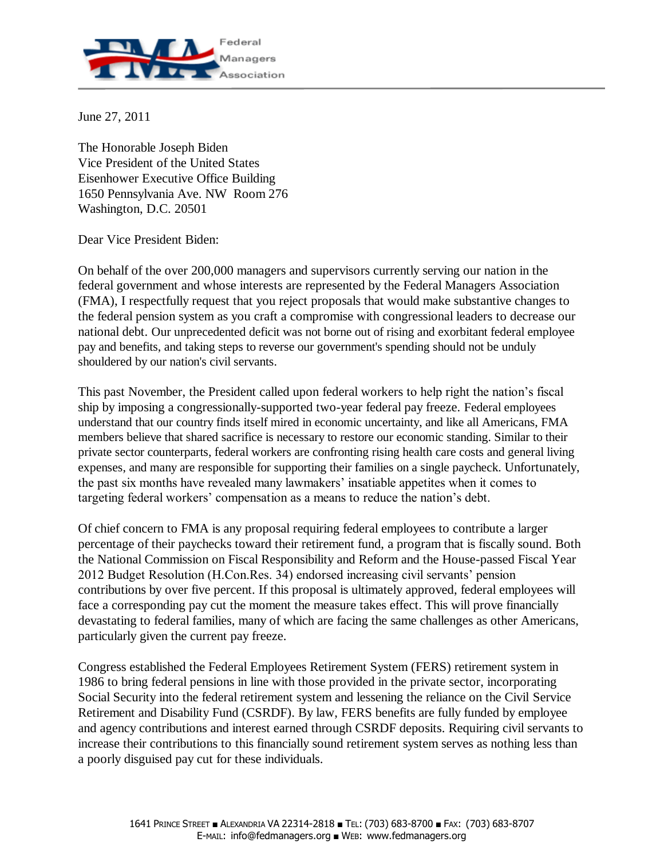

June 27, 2011

The Honorable Joseph Biden Vice President of the United States Eisenhower Executive Office Building 1650 Pennsylvania Ave. NW Room 276 Washington, D.C. 20501

Dear Vice President Biden:

On behalf of the over 200,000 managers and supervisors currently serving our nation in the federal government and whose interests are represented by the Federal Managers Association (FMA), I respectfully request that you reject proposals that would make substantive changes to the federal pension system as you craft a compromise with congressional leaders to decrease our national debt. Our unprecedented deficit was not borne out of rising and exorbitant federal employee pay and benefits, and taking steps to reverse our government's spending should not be unduly shouldered by our nation's civil servants.

This past November, the President called upon federal workers to help right the nation's fiscal ship by imposing a congressionally-supported two-year federal pay freeze. Federal employees understand that our country finds itself mired in economic uncertainty, and like all Americans, FMA members believe that shared sacrifice is necessary to restore our economic standing. Similar to their private sector counterparts, federal workers are confronting rising health care costs and general living expenses, and many are responsible for supporting their families on a single paycheck. Unfortunately, the past six months have revealed many lawmakers' insatiable appetites when it comes to targeting federal workers' compensation as a means to reduce the nation's debt.

Of chief concern to FMA is any proposal requiring federal employees to contribute a larger percentage of their paychecks toward their retirement fund, a program that is fiscally sound. Both the National Commission on Fiscal Responsibility and Reform and the House-passed Fiscal Year 2012 Budget Resolution (H.Con.Res. 34) endorsed increasing civil servants' pension contributions by over five percent. If this proposal is ultimately approved, federal employees will face a corresponding pay cut the moment the measure takes effect. This will prove financially devastating to federal families, many of which are facing the same challenges as other Americans, particularly given the current pay freeze.

Congress established the Federal Employees Retirement System (FERS) retirement system in 1986 to bring federal pensions in line with those provided in the private sector, incorporating Social Security into the federal retirement system and lessening the reliance on the Civil Service Retirement and Disability Fund (CSRDF). By law, FERS benefits are fully funded by employee and agency contributions and interest earned through CSRDF deposits. Requiring civil servants to increase their contributions to this financially sound retirement system serves as nothing less than a poorly disguised pay cut for these individuals.